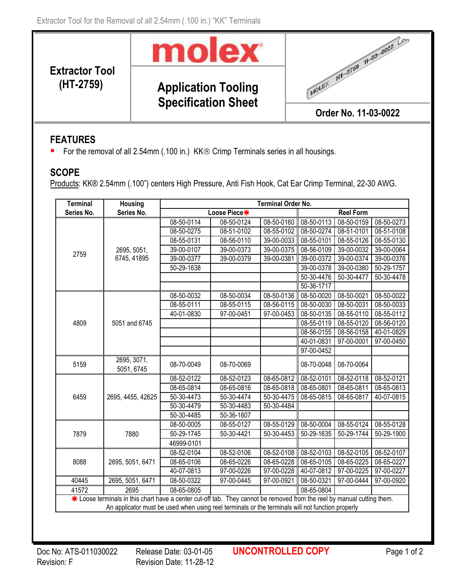

**Application Tooling Specification Sheet**



## **FEATURES**

**Extractor Tool** 

■ For the removal of all 2.54mm (.100 in.) KK<sup>®</sup> Crimp Terminals series in all housings.

## **SCOPE**

Products: KK® 2.54mm (.100") centers High Pressure, Anti Fish Hook, Cat Ear Crimp Terminal, 22-30 AWG.

| <b>Terminal</b>                                                                                                                                                                                                             | <b>Housing</b>             | <b>Terminal Order No.</b> |              |            |                  |                          |                          |
|-----------------------------------------------------------------------------------------------------------------------------------------------------------------------------------------------------------------------------|----------------------------|---------------------------|--------------|------------|------------------|--------------------------|--------------------------|
| Series No.                                                                                                                                                                                                                  | Series No.                 | Loose Piece*              |              |            | <b>Reel Form</b> |                          |                          |
| 2759                                                                                                                                                                                                                        | 2695, 5051,<br>6745, 41895 | 08-50-0114                | 08-50-0124   | 08-50-0160 | 08-50-0113       | 08-50-0159               | 08-50-0273               |
|                                                                                                                                                                                                                             |                            | 08-50-0275                | 08-51-0102   | 08-55-0102 | 08-50-0274       | 08-51-0101               | 08-51-0108               |
|                                                                                                                                                                                                                             |                            | 08-55-0131                | 08-56-0110   | 39-00-0033 | 08-55-0101       | 08-55-0126               | 08-55-0130               |
|                                                                                                                                                                                                                             |                            | 39-00-0107                | 39-00-0373   | 39-00-0375 | 08-56-0109       | 39-00-0032               | 39-00-0064               |
|                                                                                                                                                                                                                             |                            | 39-00-0377                | 39-00-0379   | 39-00-0381 | 39-00-0372       | 39-00-0374               | 39-00-0376               |
|                                                                                                                                                                                                                             |                            | 50-29-1638                |              |            | 39-00-0378       | 39-00-0380               | 50-29-1757               |
|                                                                                                                                                                                                                             |                            |                           |              |            | 50-30-4476       | 50-30-4477               | 50-30-4478               |
|                                                                                                                                                                                                                             |                            |                           |              |            | 50-36-1717       |                          |                          |
| 4809                                                                                                                                                                                                                        | 5051 and 6745              | 08-50-0032                | 08-50-0034   | 08-50-0136 | 08-50-0020       | 08-50-0021               | 08-50-0022               |
|                                                                                                                                                                                                                             |                            | 08-55-0111                | 08-55-0115   | 08-56-0115 | 08-50-0030       | $08 - 50 - 0031$         | 08-50-0033               |
|                                                                                                                                                                                                                             |                            | 40-01-0830                | 97-00-0451   | 97-00-0453 | 08-50-0135       | 08-55-0110               | 08-55-0112               |
|                                                                                                                                                                                                                             |                            |                           |              |            | 08-55-0119       | 08-55-0120               | 08-56-0120               |
|                                                                                                                                                                                                                             |                            |                           |              |            | 08-56-0155       | 08-56-0158               | 40-01-0829               |
|                                                                                                                                                                                                                             |                            |                           |              |            | 40-01-0831       | 97-00-0001               | 97-00-0450               |
|                                                                                                                                                                                                                             |                            |                           |              |            | 97-00-0452       |                          |                          |
| 5159                                                                                                                                                                                                                        | 2695, 3071,<br>5051, 6745  | 08-70-0049                | 08-70-0069   |            | 08-70-0048       | 08-70-0064               |                          |
| 6459                                                                                                                                                                                                                        | 2695, 4455, 42625          | 08-52-0122                | 08-52-0123   | 08-65-0812 | 08-52-0101       | 08-52-0118               | 08-52-0121               |
|                                                                                                                                                                                                                             |                            | 08-65-0814                | 08-65-0816   | 08-65-0818 | 08-65-0801       | 08-65-0811               | 08-65-0813               |
|                                                                                                                                                                                                                             |                            | 50-30-4473                | 50-30-4474   | 50-30-4475 | 08-65-0815       | 08-65-0817               | 40-07-0815               |
|                                                                                                                                                                                                                             |                            | 50-30-4479                | $50-30-4483$ | 50-30-4484 |                  |                          |                          |
|                                                                                                                                                                                                                             |                            | 50-30-4485                | 50-36-1607   |            |                  |                          |                          |
| 7879                                                                                                                                                                                                                        | 7880                       | 08-50-0005                | 08-55-0127   | 08-55-0129 | 08-50-0004       | 08-55-0124               | 08-55-0128               |
|                                                                                                                                                                                                                             |                            | 50-29-1745                | 50-30-4421   | 50-30-4453 | 50-29-1635       | 50-29-1744               | $\overline{50}$ -29-1900 |
|                                                                                                                                                                                                                             |                            | 46999-0101                |              |            |                  |                          |                          |
| 8088                                                                                                                                                                                                                        | 2695, 5051, 6471           | 08-52-0104                | 08-52-0106   | 08-52-0108 | 08-52-0103       | 08-52-0105               | 08-52-0107               |
|                                                                                                                                                                                                                             |                            | 08-65-0106                | 08-65-0226   | 08-65-0228 | 08-65-0105       | $\overline{08}$ -65-0225 | $08 - 65 - 0227$         |
|                                                                                                                                                                                                                             |                            | 40-07-0813                | 97-00-0226   | 97-00-0228 | 40-07-0812       | 97-00-0225               | 97-00-0227               |
| 40445                                                                                                                                                                                                                       | 2695, 5051, 6471           | 08-50-0322                | 97-00-0445   | 97-00-0921 | 08-50-0321       | 97-00-0444               | 97-00-0920               |
| 41572                                                                                                                                                                                                                       | 2695                       | 08-65-0805                |              |            | 08-65-0804       |                          |                          |
| * Loose terminals in this chart have a center cut-off tab. They cannot be removed from the reel by manual cutting them.<br>An applicator must be used when using reel terminals or the terminals will not function properly |                            |                           |              |            |                  |                          |                          |